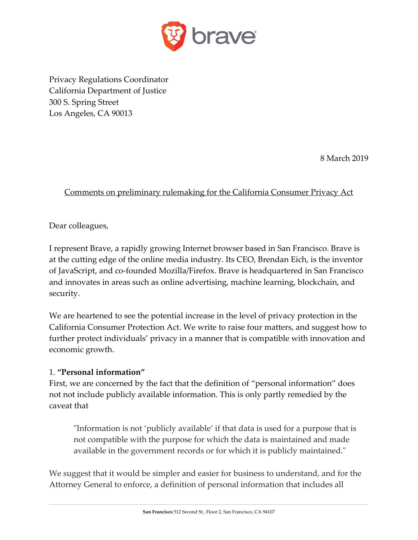

Privacy Regulations Coordinator California Department of Justice 300 S. Spring Street Los Angeles, CA 90013

8 March 2019

# Comments on preliminary rulemaking for the California Consumer Privacy Act

Dear colleagues,

I represent Brave, a rapidly growing Internet browser based in San Francisco. Brave is at the cutting edge of the online media industry. Its CEO, Brendan Eich, is the inventor of JavaScript, and co-founded Mozilla/Firefox. Brave is headquartered in San Francisco and innovates in areas such as online advertising, machine learning, blockchain, and security.

We are heartened to see the potential increase in the level of privacy protection in the California Consumer Protection Act. We write to raise four matters, and suggest how to further protect individuals' privacy in a manner that is compatible with innovation and economic growth.

### 1. **"Personal information"**

First, we are concerned by the fact that the definition of "personal information" does not not include publicly available information. This is only partly remedied by the caveat that

"Information is not 'publicly available' if that data is used for a purpose that is not compatible with the purpose for which the data is maintained and made available in the government records or for which it is publicly maintained."

We suggest that it would be simpler and easier for business to understand, and for the Attorney General to enforce, a definition of personal information that includes all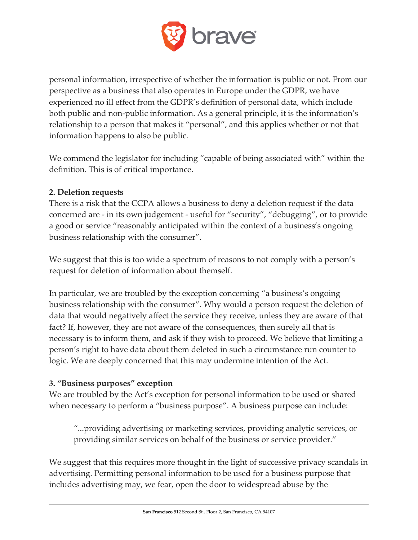

personal information, irrespective of whether the information is public or not. From our perspective as a business that also operates in Europe under the GDPR, we have experienced no ill effect from the GDPR's definition of personal data, which include both public and non-public information. As a general principle, it is the information's relationship to a person that makes it "personal", and this applies whether or not that information happens to also be public.

We commend the legislator for including "capable of being associated with" within the definition. This is of critical importance.

## **2. Deletion requests**

There is a risk that the CCPA allows a business to deny a deletion request if the data concerned are - in its own judgement - useful for "security", "debugging", or to provide a good or service "reasonably anticipated within the context of a business's ongoing business relationship with the consumer".

We suggest that this is too wide a spectrum of reasons to not comply with a person's request for deletion of information about themself.

In particular, we are troubled by the exception concerning "a business's ongoing business relationship with the consumer". Why would a person request the deletion of data that would negatively affect the service they receive, unless they are aware of that fact? If, however, they are not aware of the consequences, then surely all that is necessary is to inform them, and ask if they wish to proceed. We believe that limiting a person's right to have data about them deleted in such a circumstance run counter to logic. We are deeply concerned that this may undermine intention of the Act.

### **3. "Business purposes" exception**

We are troubled by the Act's exception for personal information to be used or shared when necessary to perform a "business purpose". A business purpose can include:

"...providing advertising or marketing services, providing analytic services, or providing similar services on behalf of the business or service provider."

We suggest that this requires more thought in the light of successive privacy scandals in advertising. Permitting personal information to be used for a business purpose that includes advertising may, we fear, open the door to widespread abuse by the